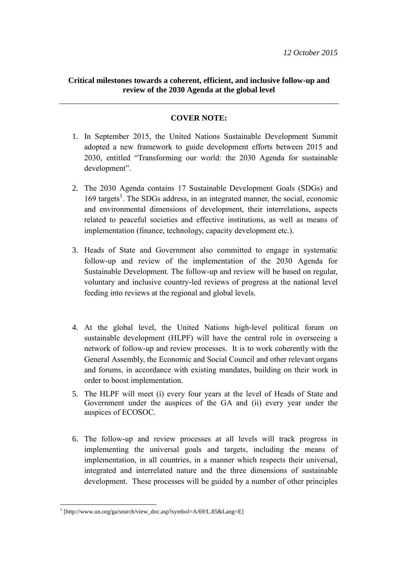# **Critical milestones towards a coherent, efficient, and inclusive follow-up and review of the 2030 Agenda at the global level**

# **COVER NOTE:**

- 1. In September 2015, the United Nations Sustainable Development Summit adopted a new framework to guide development efforts between 2015 and 2030, entitled "Transforming our world: the 2030 Agenda for sustainable development".
- 2. The 2030 Agenda contains 17 Sustainable Development Goals (SDGs) and 169 targets<sup>1</sup>. The SDGs address, in an integrated manner, the social, economic and environmental dimensions of development, their interrelations, aspects related to peaceful societies and effective institutions, as well as means of implementation (finance, technology, capacity development etc.).
- 3. Heads of State and Government also committed to engage in systematic follow-up and review of the implementation of the 2030 Agenda for Sustainable Development. The follow-up and review will be based on regular, voluntary and inclusive country-led reviews of progress at the national level feeding into reviews at the regional and global levels.
- 4. At the global level, the United Nations high-level political forum on sustainable development (HLPF) will have the central role in overseeing a network of follow-up and review processes. It is to work coherently with the General Assembly, the Economic and Social Council and other relevant organs and forums, in accordance with existing mandates, building on their work in order to boost implementation.
- 5. The HLPF will meet (i) every four years at the level of Heads of State and Government under the auspices of the GA and (ii) every year under the auspices of ECOSOC.
- 6. The follow-up and review processes at all levels will track progress in implementing the universal goals and targets, including the means of implementation, in all countries, in a manner which respects their universal, integrated and interrelated nature and the three dimensions of sustainable development. These processes will be guided by a number of other principles

<sup>1</sup> [http://www.un.org/ga/search/view\_doc.asp?symbol=A/69/L.85&Lang=E]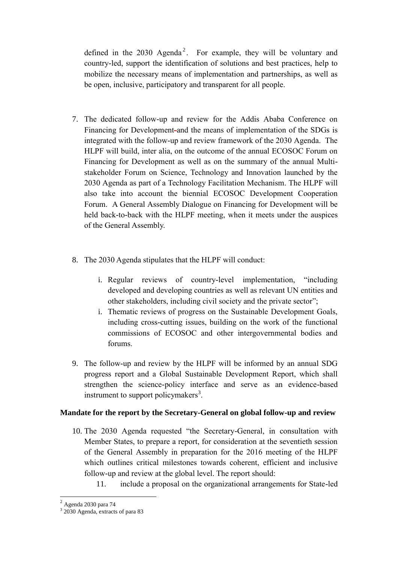defined in the  $2030$  Agenda<sup>2</sup>. For example, they will be voluntary and country-led, support the identification of solutions and best practices, help to mobilize the necessary means of implementation and partnerships, as well as be open, inclusive, participatory and transparent for all people.

- 7. The dedicated follow-up and review for the Addis Ababa Conference on Financing for Development and the means of implementation of the SDGs is integrated with the follow-up and review framework of the 2030 Agenda. The HLPF will build, inter alia, on the outcome of the annual ECOSOC Forum on Financing for Development as well as on the summary of the annual Multistakeholder Forum on Science, Technology and Innovation launched by the 2030 Agenda as part of a Technology Facilitation Mechanism. The HLPF will also take into account the biennial ECOSOC Development Cooperation Forum. A General Assembly Dialogue on Financing for Development will be held back-to-back with the HLPF meeting, when it meets under the auspices of the General Assembly.
- 8. The 2030 Agenda stipulates that the HLPF will conduct:
	- i. Regular reviews of country-level implementation, "including developed and developing countries as well as relevant UN entities and other stakeholders, including civil society and the private sector";
	- i. Thematic reviews of progress on the Sustainable Development Goals, including cross-cutting issues, building on the work of the functional commissions of ECOSOC and other intergovernmental bodies and forums.
- 9. The follow-up and review by the HLPF will be informed by an annual SDG progress report and a Global Sustainable Development Report, which shall strengthen the science-policy interface and serve as an evidence-based instrument to support policymakers $3$ .

# **Mandate for the report by the Secretary-General on global follow-up and review**

- 10. The 2030 Agenda requested "the Secretary-General, in consultation with Member States, to prepare a report, for consideration at the seventieth session of the General Assembly in preparation for the 2016 meeting of the HLPF which outlines critical milestones towards coherent, efficient and inclusive follow-up and review at the global level. The report should:
	- 11. include a proposal on the organizational arrangements for State-led

 $\overline{\phantom{a}}$ 

 $<sup>2</sup>$  Agenda 2030 para 74</sup>

<sup>&</sup>lt;sup>3</sup> 2030 Agenda, extracts of para 83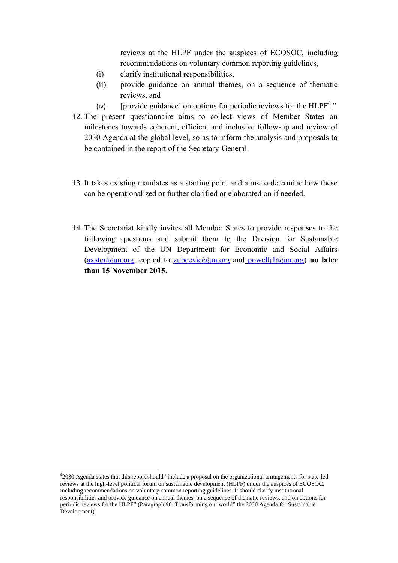reviews at the HLPF under the auspices of ECOSOC, including recommendations on voluntary common reporting guidelines,

- (i) clarify institutional responsibilities,
- (ii) provide guidance on annual themes, on a sequence of thematic reviews, and
- (iv) [provide guidance] on options for periodic reviews for the  $HLPF<sup>4</sup>$ ."
- 12. The present questionnaire aims to collect views of Member States on milestones towards coherent, efficient and inclusive follow-up and review of 2030 Agenda at the global level, so as to inform the analysis and proposals to be contained in the report of the Secretary-General.
- 13. It takes existing mandates as a starting point and aims to determine how these can be operationalized or further clarified or elaborated on if needed.
- 14. The Secretariat kindly invites all Member States to provide responses to the following questions and submit them to the Division for Sustainable Development of the UN Department for Economic and Social Affairs [\(axster@un.org,](mailto:axster@un.org) copied to [zubcevic@un.org](mailto:zubcevic@un.org) and [powellj1@un.org\)](mailto:powellj1@un.org) **no later than 15 November 2015.**

<sup>4</sup> 2030 Agenda states that this report should "include a proposal on the organizational arrangements for state-led reviews at the high-level political forum on sustainable development (HLPF) under the auspices of ECOSOC, including recommendations on voluntary common reporting guidelines. It should clarify institutional responsibilities and provide guidance on annual themes, on a sequence of thematic reviews, and on options for periodic reviews for the HLPF" (Paragraph 90, Transforming our world" the 2030 Agenda for Sustainable Development)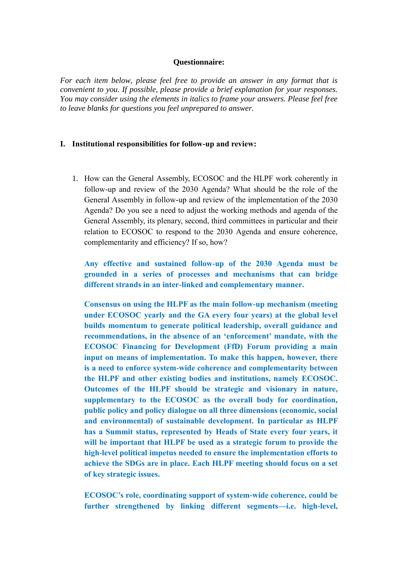### **Questionnaire:**

*For each item below, please feel free to provide an answer in any format that is convenient to you. If possible, please provide a brief explanation for your responses. You may consider using the elements in italics to frame your answers. Please feel free to leave blanks for questions you feel unprepared to answer.* 

### **I. Institutional responsibilities for follow-up and review:**

1. How can the General Assembly, ECOSOC and the HLPF work coherently in follow-up and review of the 2030 Agenda? What should be the role of the General Assembly in follow-up and review of the implementation of the 2030 Agenda? Do you see a need to adjust the working methods and agenda of the General Assembly, its plenary, second, third committees in particular and their relation to ECOSOC to respond to the 2030 Agenda and ensure coherence, complementarity and efficiency? If so, how?

**Any effective and sustained follow-up of the 2030 Agenda must be grounded in a series of processes and mechanisms that can bridge different strands in an inter-linked and complementary manner.**

**Consensus on using the HLPF as the main follow-up mechanism (meeting under ECOSOC yearly and the GA every four years) at the global level builds momentum to generate political leadership, overall guidance and recommendations, in the absence of an 'enforcement' mandate, with the ECOSOC Financing for Development (FfD) Forum providing a main input on means of implementation. To make this happen, however, there is a need to enforce system-wide coherence and complementarity between the HLPF and other existing bodies and institutions, namely ECOSOC. Outcomes of the HLPF should be strategic and visionary in nature, supplementary to the ECOSOC as the overall body for coordination, public policy and policy dialogue on all three dimensions (economic, social and environmental) of sustainable development. In particular as HLPF has a Summit status, represented by Heads of State every four years, it will be important that HLPF be used as a strategic forum to provide the high-level political impetus needed to ensure the implementation efforts to achieve the SDGs are in place. Each HLPF meeting should focus on a set of key strategic issues.**

**ECOSOC's role, coordinating support of system-wide coherence, could be further strengthened by linking different segments—i.e. high-level,**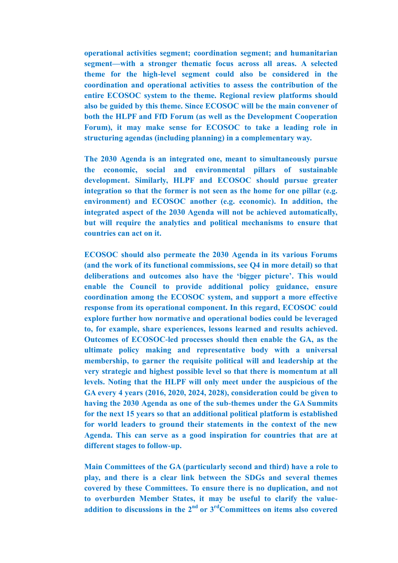**operational activities segment; coordination segment; and humanitarian segment—with a stronger thematic focus across all areas. A selected theme for the high-level segment could also be considered in the coordination and operational activities to assess the contribution of the entire ECOSOC system to the theme. Regional review platforms should also be guided by this theme. Since ECOSOC will be the main convener of both the HLPF and FfD Forum (as well as the Development Cooperation Forum), it may make sense for ECOSOC to take a leading role in structuring agendas (including planning) in a complementary way.**

**The 2030 Agenda is an integrated one, meant to simultaneously pursue the economic, social and environmental pillars of sustainable development. Similarly, HLPF and ECOSOC should pursue greater integration so that the former is not seen as the home for one pillar (e.g. environment) and ECOSOC another (e.g. economic). In addition, the integrated aspect of the 2030 Agenda will not be achieved automatically, but will require the analytics and political mechanisms to ensure that countries can act on it.** 

**ECOSOC should also permeate the 2030 Agenda in its various Forums (and the work of its functional commissions, see Q4 in more detail) so that deliberations and outcomes also have the 'bigger picture'. This would enable the Council to provide additional policy guidance, ensure coordination among the ECOSOC system, and support a more effective response from its operational component. In this regard, ECOSOC could explore further how normative and operational bodies could be leveraged to, for example, share experiences, lessons learned and results achieved. Outcomes of ECOSOC-led processes should then enable the GA, as the ultimate policy making and representative body with a universal membership, to garner the requisite political will and leadership at the very strategic and highest possible level so that there is momentum at all levels. Noting that the HLPF will only meet under the auspicious of the GA every 4 years (2016, 2020, 2024, 2028), consideration could be given to having the 2030 Agenda as one of the sub-themes under the GA Summits for the next 15 years so that an additional political platform is established for world leaders to ground their statements in the context of the new Agenda. This can serve as a good inspiration for countries that are at different stages to follow-up.**

**Main Committees of the GA (particularly second and third) have a role to play, and there is a clear link between the SDGs and several themes covered by these Committees. To ensure there is no duplication, and not to overburden Member States, it may be useful to clarify the valueaddition to discussions in the 2nd or 3rdCommittees on items also covered**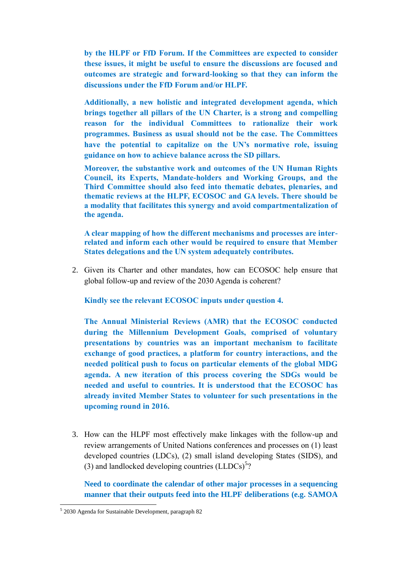**by the HLPF or FfD Forum. If the Committees are expected to consider these issues, it might be useful to ensure the discussions are focused and outcomes are strategic and forward-looking so that they can inform the discussions under the FfD Forum and/or HLPF.**

**Additionally, a new holistic and integrated development agenda, which brings together all pillars of the UN Charter, is a strong and compelling reason for the individual Committees to rationalize their work programmes. Business as usual should not be the case. The Committees have the potential to capitalize on the UN's normative role, issuing guidance on how to achieve balance across the SD pillars.** 

**Moreover, the substantive work and outcomes of the UN Human Rights Council, its Experts, Mandate-holders and Working Groups, and the Third Committee should also feed into thematic debates, plenaries, and thematic reviews at the HLPF, ECOSOC and GA levels. There should be a modality that facilitates this synergy and avoid compartmentalization of the agenda.** 

**A clear mapping of how the different mechanisms and processes are interrelated and inform each other would be required to ensure that Member States delegations and the UN system adequately contributes.** 

2. Given its Charter and other mandates, how can ECOSOC help ensure that global follow-up and review of the 2030 Agenda is coherent?

**Kindly see the relevant ECOSOC inputs under question 4.**

**The Annual Ministerial Reviews (AMR) that the ECOSOC conducted during the Millennium Development Goals, comprised of voluntary presentations by countries was an important mechanism to facilitate exchange of good practices, a platform for country interactions, and the needed political push to focus on particular elements of the global MDG agenda. A new iteration of this process covering the SDGs would be needed and useful to countries. It is understood that the ECOSOC has already invited Member States to volunteer for such presentations in the upcoming round in 2016.**

3. How can the HLPF most effectively make linkages with the follow-up and review arrangements of United Nations conferences and processes on (1) least developed countries (LDCs), (2) small island developing States (SIDS), and (3) and landlocked developing countries  $(LLDCs)^{5}$ ?

**Need to coordinate the calendar of other major processes in a sequencing manner that their outputs feed into the HLPF deliberations (e.g. SAMOA** 

<sup>5</sup> 2030 Agenda for Sustainable Development, paragraph 82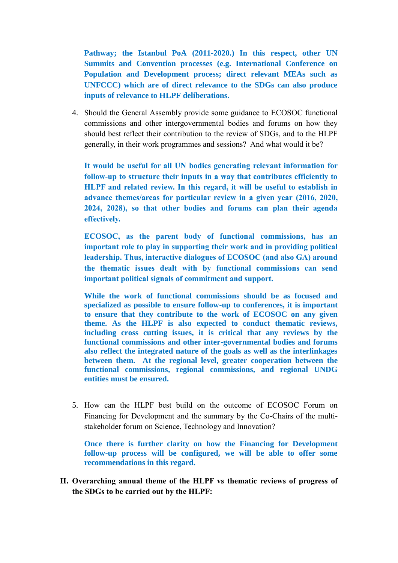**Pathway; the Istanbul PoA (2011-2020.) In this respect, other UN Summits and Convention processes (e.g. International Conference on Population and Development process; direct relevant MEAs such as UNFCCC) which are of direct relevance to the SDGs can also produce inputs of relevance to HLPF deliberations.**

4. Should the General Assembly provide some guidance to ECOSOC functional commissions and other intergovernmental bodies and forums on how they should best reflect their contribution to the review of SDGs, and to the HLPF generally, in their work programmes and sessions? And what would it be?

**It would be useful for all UN bodies generating relevant information for follow-up to structure their inputs in a way that contributes efficiently to HLPF and related review. In this regard, it will be useful to establish in advance themes/areas for particular review in a given year (2016, 2020, 2024, 2028), so that other bodies and forums can plan their agenda effectively.**

**ECOSOC, as the parent body of functional commissions, has an important role to play in supporting their work and in providing political leadership. Thus, interactive dialogues of ECOSOC (and also GA) around the thematic issues dealt with by functional commissions can send important political signals of commitment and support.** 

**While the work of functional commissions should be as focused and specialized as possible to ensure follow-up to conferences, it is important to ensure that they contribute to the work of ECOSOC on any given theme. As the HLPF is also expected to conduct thematic reviews, including cross cutting issues, it is critical that any reviews by the functional commissions and other inter-governmental bodies and forums also reflect the integrated nature of the goals as well as the interlinkages between them. At the regional level, greater cooperation between the functional commissions, regional commissions, and regional UNDG entities must be ensured.**

5. How can the HLPF best build on the outcome of ECOSOC Forum on Financing for Development and the summary by the Co-Chairs of the multistakeholder forum on Science, Technology and Innovation?

**Once there is further clarity on how the Financing for Development follow-up process will be configured, we will be able to offer some recommendations in this regard.**

**II. Overarching annual theme of the HLPF vs thematic reviews of progress of the SDGs to be carried out by the HLPF:**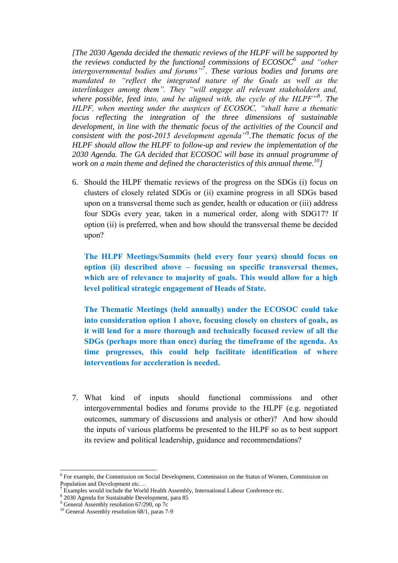*[The 2030 Agenda decided the thematic reviews of the HLPF will be supported by the reviews conducted by the functional commissions of ECOSOC<sup>6</sup> and "other intergovernmental bodies and forums"<sup>7</sup> . These various bodies and forums are mandated to "reflect the integrated nature of the Goals as well as the interlinkages among them". They "will engage all relevant stakeholders and, where possible, feed into, and be aligned with, the cycle of the HLPF"<sup>8</sup> . The HLPF, when meeting under the auspices of ECOSOC, "shall have a thematic focus reflecting the integration of the three dimensions of sustainable development, in line with the thematic focus of the activities of the Council and consistent with the post-2015 development agenda"<sup>9</sup> .The thematic focus of the HLPF should allow the HLPF to follow-up and review the implementation of the 2030 Agenda. The GA decided that ECOSOC will base its annual programme of work on a main theme and defined the characteristics of this annual theme.<sup>10</sup>]*

6. Should the HLPF thematic reviews of the progress on the SDGs (i) focus on clusters of closely related SDGs or (ii) examine progress in all SDGs based upon on a transversal theme such as gender, health or education or (iii) address four SDGs every year, taken in a numerical order, along with SDG17? If option (ii) is preferred, when and how should the transversal theme be decided upon?

**The HLPF Meetings/Summits (held every four years) should focus on option (ii) described above – focusing on specific transversal themes, which are of relevance to majority of goals. This would allow for a high level political strategic engagement of Heads of State.**

**The Thematic Meetings (held annually) under the ECOSOC could take into consideration option 1 above, focusing closely on clusters of goals, as it will lend for a more thorough and technically focused review of all the SDGs (perhaps more than once) during the timeframe of the agenda. As time progresses, this could help facilitate identification of where interventions for acceleration is needed.**

7. What kind of inputs should functional commissions and other intergovernmental bodies and forums provide to the HLPF (e.g. negotiated outcomes, summary of discussions and analysis or other)? And how should the inputs of various platforms be presented to the HLPF so as to best support its review and political leadership, guidance and recommendations?

<sup>&</sup>lt;sup>6</sup> For example, the Commission on Social Development, Commission on the Status of Women, Commission on Population and Development etc....<br><sup>7</sup> Examples would include the World Health Assembly, International Labour Conference etc.

<sup>8</sup> 2030 Agenda for Sustainable Development, para 85

<sup>9</sup> General Assembly resolution 67/290, op 7c

<sup>&</sup>lt;sup>10</sup> General Assembly resolution 68/1, paras 7-9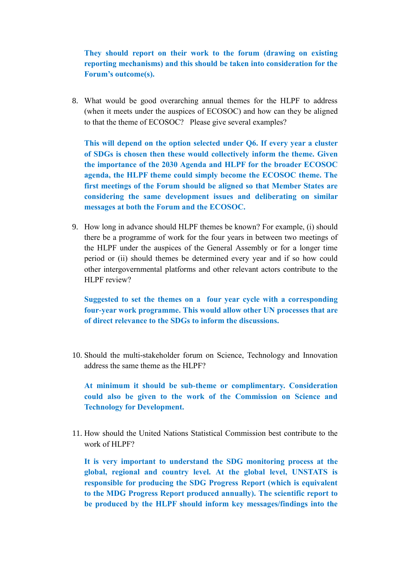**They should report on their work to the forum (drawing on existing reporting mechanisms) and this should be taken into consideration for the Forum's outcome(s).**

8. What would be good overarching annual themes for the HLPF to address (when it meets under the auspices of ECOSOC) and how can they be aligned to that the theme of ECOSOC? Please give several examples?

**This will depend on the option selected under Q6. If every year a cluster of SDGs is chosen then these would collectively inform the theme. Given the importance of the 2030 Agenda and HLPF for the broader ECOSOC agenda, the HLPF theme could simply become the ECOSOC theme. The first meetings of the Forum should be aligned so that Member States are considering the same development issues and deliberating on similar messages at both the Forum and the ECOSOC.** 

9. How long in advance should HLPF themes be known? For example, (i) should there be a programme of work for the four years in between two meetings of the HLPF under the auspices of the General Assembly or for a longer time period or (ii) should themes be determined every year and if so how could other intergovernmental platforms and other relevant actors contribute to the HLPF review?

**Suggested to set the themes on a four year cycle with a corresponding four-year work programme. This would allow other UN processes that are of direct relevance to the SDGs to inform the discussions.**

10. Should the multi-stakeholder forum on Science, Technology and Innovation address the same theme as the HLPF?

**At minimum it should be sub-theme or complimentary. Consideration could also be given to the work of the Commission on Science and Technology for Development.**

11. How should the United Nations Statistical Commission best contribute to the work of HLPF?

**It is very important to understand the SDG monitoring process at the global, regional and country level. At the global level, UNSTATS is responsible for producing the SDG Progress Report (which is equivalent to the MDG Progress Report produced annually). The scientific report to be produced by the HLPF should inform key messages/findings into the**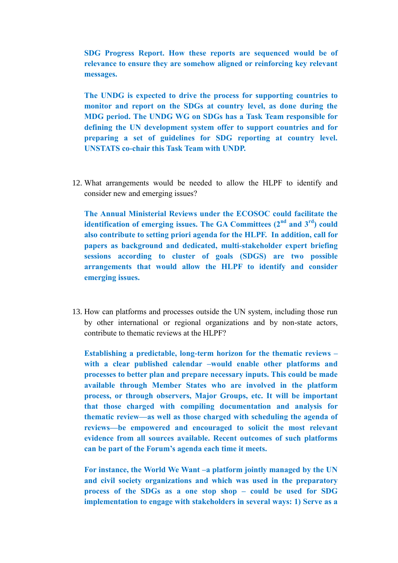**SDG Progress Report. How these reports are sequenced would be of relevance to ensure they are somehow aligned or reinforcing key relevant messages.**

**The UNDG is expected to drive the process for supporting countries to monitor and report on the SDGs at country level, as done during the MDG period. The UNDG WG on SDGs has a Task Team responsible for defining the UN development system offer to support countries and for preparing a set of guidelines for SDG reporting at country level. UNSTATS co-chair this Task Team with UNDP.** 

12. What arrangements would be needed to allow the HLPF to identify and consider new and emerging issues?

**The Annual Ministerial Reviews under the ECOSOC could facilitate the identification of emerging issues. The GA Committees**  $(2^{nd}$  **and**  $3^{rd})$  **could also contribute to setting priori agenda for the HLPF. In addition, call for papers as background and dedicated, multi-stakeholder expert briefing sessions according to cluster of goals (SDGS) are two possible arrangements that would allow the HLPF to identify and consider emerging issues.**

13. How can platforms and processes outside the UN system, including those run by other international or regional organizations and by non-state actors, contribute to thematic reviews at the HLPF?

**Establishing a predictable, long-term horizon for the thematic reviews – with a clear published calendar –would enable other platforms and processes to better plan and prepare necessary inputs. This could be made available through Member States who are involved in the platform process, or through observers, Major Groups, etc. It will be important that those charged with compiling documentation and analysis for thematic review—as well as those charged with scheduling the agenda of reviews—be empowered and encouraged to solicit the most relevant evidence from all sources available. Recent outcomes of such platforms can be part of the Forum's agenda each time it meets.**

**For instance, the World We Want –a platform jointly managed by the UN and civil society organizations and which was used in the preparatory process of the SDGs as a one stop shop – could be used for SDG implementation to engage with stakeholders in several ways: 1) Serve as a**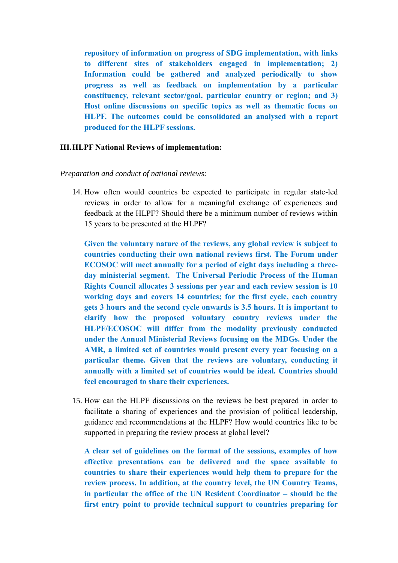**repository of information on progress of SDG implementation, with links to different sites of stakeholders engaged in implementation; 2) Information could be gathered and analyzed periodically to show progress as well as feedback on implementation by a particular constituency, relevant sector/goal, particular country or region; and 3) Host online discussions on specific topics as well as thematic focus on HLPF. The outcomes could be consolidated an analysed with a report produced for the HLPF sessions.**

### **III.HLPF National Reviews of implementation:**

#### *Preparation and conduct of national reviews:*

14. How often would countries be expected to participate in regular state-led reviews in order to allow for a meaningful exchange of experiences and feedback at the HLPF? Should there be a minimum number of reviews within 15 years to be presented at the HLPF?

**Given the voluntary nature of the reviews, any global review is subject to countries conducting their own national reviews first. The Forum under ECOSOC will meet annually for a period of eight days including a threeday ministerial segment. The Universal Periodic Process of the Human Rights Council allocates 3 sessions per year and each review session is 10 working days and covers 14 countries; for the first cycle, each country gets 3 hours and the second cycle onwards is 3.5 hours. It is important to clarify how the proposed voluntary country reviews under the HLPF/ECOSOC will differ from the modality previously conducted under the Annual Ministerial Reviews focusing on the MDGs. Under the AMR, a limited set of countries would present every year focusing on a particular theme. Given that the reviews are voluntary, conducting it annually with a limited set of countries would be ideal. Countries should feel encouraged to share their experiences.**

15. How can the HLPF discussions on the reviews be best prepared in order to facilitate a sharing of experiences and the provision of political leadership, guidance and recommendations at the HLPF? How would countries like to be supported in preparing the review process at global level?

**A clear set of guidelines on the format of the sessions, examples of how effective presentations can be delivered and the space available to countries to share their experiences would help them to prepare for the review process. In addition, at the country level, the UN Country Teams, in particular the office of the UN Resident Coordinator – should be the first entry point to provide technical support to countries preparing for**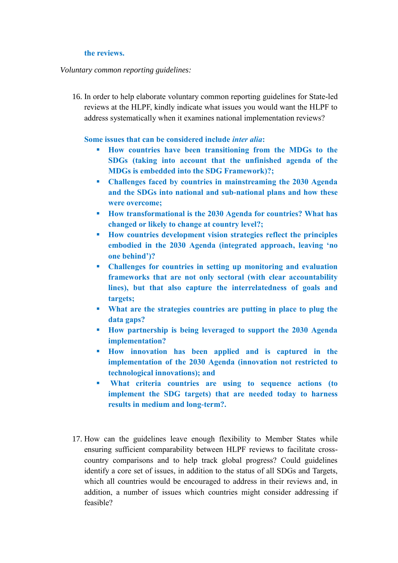### **the reviews.**

## *Voluntary common reporting guidelines:*

16. In order to help elaborate voluntary common reporting guidelines for State-led reviews at the HLPF, kindly indicate what issues you would want the HLPF to address systematically when it examines national implementation reviews?

# **Some issues that can be considered include** *inter alia***:**

- **How countries have been transitioning from the MDGs to the SDGs (taking into account that the unfinished agenda of the MDGs is embedded into the SDG Framework)?;**
- **Challenges faced by countries in mainstreaming the 2030 Agenda and the SDGs into national and sub-national plans and how these were overcome;**
- **How transformational is the 2030 Agenda for countries? What has changed or likely to change at country level?;**
- **How countries development vision strategies reflect the principles embodied in the 2030 Agenda (integrated approach, leaving 'no one behind')?**
- **Challenges for countries in setting up monitoring and evaluation frameworks that are not only sectoral (with clear accountability lines), but that also capture the interrelatedness of goals and targets;**
- **What are the strategies countries are putting in place to plug the data gaps?**
- **How partnership is being leveraged to support the 2030 Agenda implementation?**
- **How innovation has been applied and is captured in the implementation of the 2030 Agenda (innovation not restricted to technological innovations); and**
- **What criteria countries are using to sequence actions (to implement the SDG targets) that are needed today to harness results in medium and long-term?.**
- 17. How can the guidelines leave enough flexibility to Member States while ensuring sufficient comparability between HLPF reviews to facilitate crosscountry comparisons and to help track global progress? Could guidelines identify a core set of issues, in addition to the status of all SDGs and Targets, which all countries would be encouraged to address in their reviews and, in addition, a number of issues which countries might consider addressing if feasible?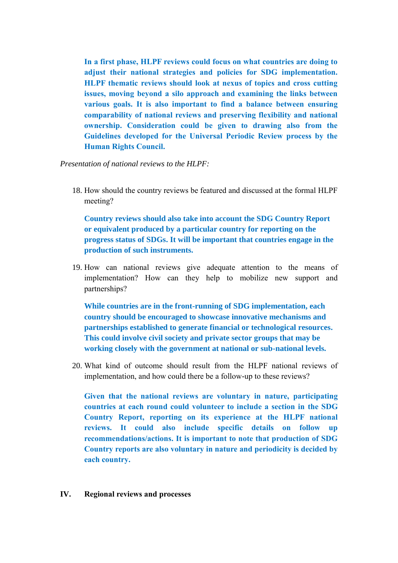**In a first phase, HLPF reviews could focus on what countries are doing to adjust their national strategies and policies for SDG implementation. HLPF thematic reviews should look at nexus of topics and cross cutting issues, moving beyond a silo approach and examining the links between various goals. It is also important to find a balance between ensuring comparability of national reviews and preserving flexibility and national ownership. Consideration could be given to drawing also from the Guidelines developed for the Universal Periodic Review process by the Human Rights Council.**

*Presentation of national reviews to the HLPF:*

18. How should the country reviews be featured and discussed at the formal HLPF meeting?

**Country reviews should also take into account the SDG Country Report or equivalent produced by a particular country for reporting on the progress status of SDGs. It will be important that countries engage in the production of such instruments.** 

19. How can national reviews give adequate attention to the means of implementation? How can they help to mobilize new support and partnerships?

**While countries are in the front-running of SDG implementation, each country should be encouraged to showcase innovative mechanisms and partnerships established to generate financial or technological resources. This could involve civil society and private sector groups that may be working closely with the government at national or sub-national levels.** 

20. What kind of outcome should result from the HLPF national reviews of implementation, and how could there be a follow-up to these reviews?

**Given that the national reviews are voluntary in nature, participating countries at each round could volunteer to include a section in the SDG Country Report, reporting on its experience at the HLPF national reviews. It could also include specific details on follow up recommendations/actions. It is important to note that production of SDG Country reports are also voluntary in nature and periodicity is decided by each country.**

**IV. Regional reviews and processes**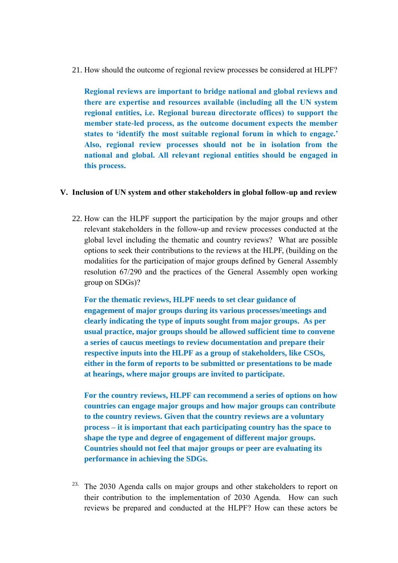21. How should the outcome of regional review processes be considered at HLPF?

**Regional reviews are important to bridge national and global reviews and there are expertise and resources available (including all the UN system regional entities, i.e. Regional bureau directorate offices) to support the member state-led process, as the outcome document expects the member states to 'identify the most suitable regional forum in which to engage.' Also, regional review processes should not be in isolation from the national and global. All relevant regional entities should be engaged in this process.** 

### **V. Inclusion of UN system and other stakeholders in global follow-up and review**

22. How can the HLPF support the participation by the major groups and other relevant stakeholders in the follow-up and review processes conducted at the global level including the thematic and country reviews? What are possible options to seek their contributions to the reviews at the HLPF, (building on the modalities for the participation of major groups defined by General Assembly resolution 67/290 and the practices of the General Assembly open working group on SDGs)?

**For the thematic reviews, HLPF needs to set clear guidance of engagement of major groups during its various processes/meetings and clearly indicating the type of inputs sought from major groups. As per usual practice, major groups should be allowed sufficient time to convene a series of caucus meetings to review documentation and prepare their respective inputs into the HLPF as a group of stakeholders, like CSOs, either in the form of reports to be submitted or presentations to be made at hearings, where major groups are invited to participate.**

**For the country reviews, HLPF can recommend a series of options on how countries can engage major groups and how major groups can contribute to the country reviews. Given that the country reviews are a voluntary process – it is important that each participating country has the space to shape the type and degree of engagement of different major groups. Countries should not feel that major groups or peer are evaluating its performance in achieving the SDGs.**

<sup>23.</sup> The 2030 Agenda calls on major groups and other stakeholders to report on their contribution to the implementation of 2030 Agenda. How can such reviews be prepared and conducted at the HLPF? How can these actors be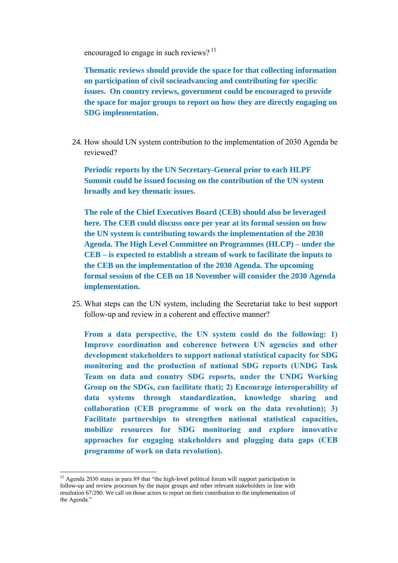encouraged to engage in such reviews?<sup>11</sup>

**Thematic reviews should provide the space for that collecting information on participation of civil socieadvancing and contributing for specific issues. On country reviews, government could be encouraged to provide the space for major groups to report on how they are directly engaging on SDG implementation.** 

24. How should UN system contribution to the implementation of 2030 Agenda be reviewed?

**Periodic reports by the UN Secretary-General prior to each HLPF Summit could be issued focusing on the contribution of the UN system broadly and key thematic issues.**

**The role of the Chief Executives Board (CEB) should also be leveraged here. The CEB could discuss once per year at its formal session on how the UN system is contributing towards the implementation of the 2030 Agenda. The High Level Committee on Programmes (HLCP) – under the CEB – is expected to establish a stream of work to facilitate the inputs to the CEB on the implementation of the 2030 Agenda. The upcoming formal session of the CEB on 18 November will consider the 2030 Agenda implementation.**

25. What steps can the UN system, including the Secretariat take to best support follow-up and review in a coherent and effective manner?

**From a data perspective, the UN system could do the following: 1) Improve coordination and coherence between UN agencies and other development stakeholders to support national statistical capacity for SDG monitoring and the production of national SDG reports (UNDG Task Team on data and country SDG reports, under the UNDG Working Group on the SDGs, can facilitate that); 2) Encourage interoperability of data systems through standardization, knowledge sharing and collaboration (CEB programme of work on the data revolution); 3) Facilitate partnerships to strengthen national statistical capacities, mobilize resources for SDG monitoring and explore innovative approaches for engaging stakeholders and plugging data gaps (CEB programme of work on data revolution).** 

 $11$  Agenda 2030 states in para 89 that "the high-level political forum will support participation in follow-up and review processes by the major groups and other relevant stakeholders in line with resolution 67/290. We call on those actors to report on their contribution to the implementation of the Agenda."